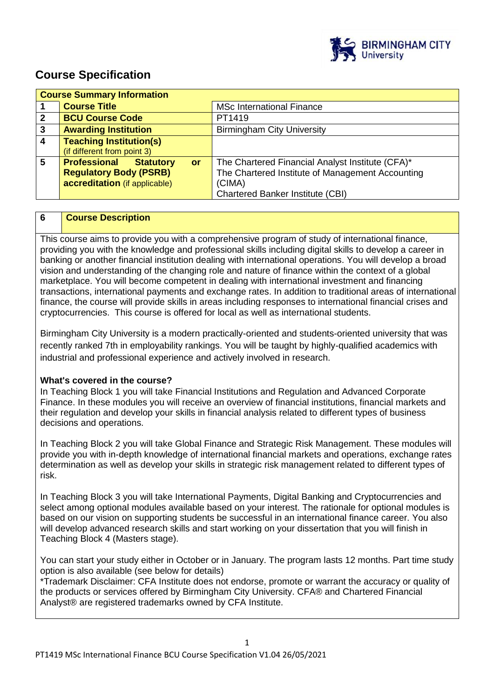

# **Course Specification**

| <b>Course Summary Information</b> |                                     |                                                  |
|-----------------------------------|-------------------------------------|--------------------------------------------------|
|                                   | <b>Course Title</b>                 | <b>MSc International Finance</b>                 |
| $\mathbf{2}$                      | <b>BCU Course Code</b>              | PT1419                                           |
| 3                                 | <b>Awarding Institution</b>         | <b>Birmingham City University</b>                |
| $\overline{4}$                    | <b>Teaching Institution(s)</b>      |                                                  |
|                                   | (if different from point 3)         |                                                  |
| 5                                 | <b>Professional Statutory</b><br>or | The Chartered Financial Analyst Institute (CFA)* |
|                                   | <b>Regulatory Body (PSRB)</b>       | The Chartered Institute of Management Accounting |
|                                   | accreditation (if applicable)       | (CIMA)                                           |
|                                   |                                     | <b>Chartered Banker Institute (CBI)</b>          |

# **6 Course Description**

This course aims to provide you with a comprehensive program of study of international finance, providing you with the knowledge and professional skills including digital skills to develop a career in banking or another financial institution dealing with international operations. You will develop a broad vision and understanding of the changing role and nature of finance within the context of a global marketplace. You will become competent in dealing with international investment and financing transactions, international payments and exchange rates. In addition to traditional areas of international finance, the course will provide skills in areas including responses to international financial crises and cryptocurrencies. This course is offered for local as well as international students.

Birmingham City University is a modern practically-oriented and students-oriented university that was recently ranked 7th in employability rankings. You will be taught by highly-qualified academics with industrial and professional experience and actively involved in research.

## **What's covered in the course?**

In Teaching Block 1 you will take Financial Institutions and Regulation and Advanced Corporate Finance. In these modules you will receive an overview of financial institutions, financial markets and their regulation and develop your skills in financial analysis related to different types of business decisions and operations.

In Teaching Block 2 you will take Global Finance and Strategic Risk Management. These modules will provide you with in-depth knowledge of international financial markets and operations, exchange rates determination as well as develop your skills in strategic risk management related to different types of risk.

In Teaching Block 3 you will take International Payments, Digital Banking and Cryptocurrencies and select among optional modules available based on your interest. The rationale for optional modules is based on our vision on supporting students be successful in an international finance career. You also will develop advanced research skills and start working on your dissertation that you will finish in Teaching Block 4 (Masters stage).

You can start your study either in October or in January. The program lasts 12 months. Part time study option is also available (see below for details)

\*Trademark Disclaimer: CFA Institute does not endorse, promote or warrant the accuracy or quality of the products or services offered by Birmingham City University. CFA® and Chartered Financial Analyst® are registered trademarks owned by CFA Institute.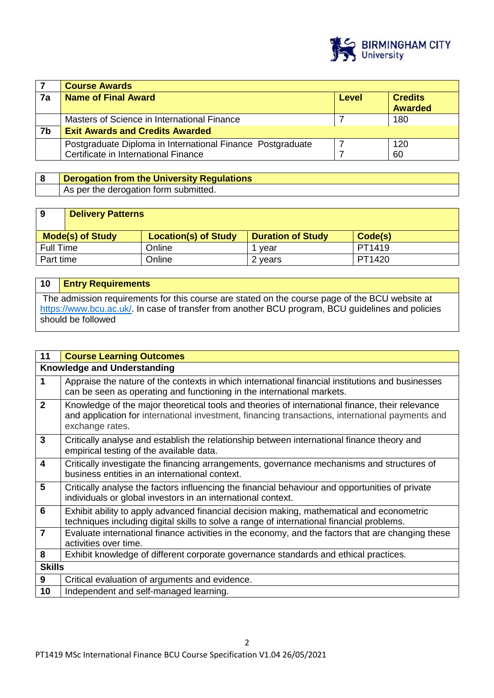

|    | <b>Course Awards</b>                                                                               |       |                                  |
|----|----------------------------------------------------------------------------------------------------|-------|----------------------------------|
| 7a | <b>Name of Final Award</b>                                                                         | Level | <b>Credits</b><br><b>Awarded</b> |
|    | Masters of Science in International Finance                                                        |       | 180                              |
| 7b | <b>Exit Awards and Credits Awarded</b>                                                             |       |                                  |
|    | Postgraduate Diploma in International Finance Postgraduate<br>Certificate in International Finance |       | 120<br>60                        |

# **8 Derogation from the University Regulations**  As per the derogation form submitted.

# **9 Delivery Patterns**

| <b>Mode(s) of Study</b> | <b>Location(s) of Study</b> | <b>Duration of Study</b> | Code(s) |
|-------------------------|-----------------------------|--------------------------|---------|
| <b>Full Time</b>        | Online                      | vear                     | PT1419  |
| Part time               | Online                      | 2 vears                  | PT1420  |

| 10 | <b>Entry Requirements</b>                                                                                                                                                                                                 |
|----|---------------------------------------------------------------------------------------------------------------------------------------------------------------------------------------------------------------------------|
|    | The admission requirements for this course are stated on the course page of the BCU website at<br>https://www.bcu.ac.uk/. In case of transfer from another BCU program, BCU guidelines and policies<br>should be followed |

| 11                      | <b>Course Learning Outcomes</b>                                                                                                                                                                                        |  |  |
|-------------------------|------------------------------------------------------------------------------------------------------------------------------------------------------------------------------------------------------------------------|--|--|
|                         | <b>Knowledge and Understanding</b>                                                                                                                                                                                     |  |  |
| 1                       | Appraise the nature of the contexts in which international financial institutions and businesses<br>can be seen as operating and functioning in the international markets.                                             |  |  |
| $\overline{2}$          | Knowledge of the major theoretical tools and theories of international finance, their relevance<br>and application for international investment, financing transactions, international payments and<br>exchange rates. |  |  |
| $\mathbf{3}$            | Critically analyse and establish the relationship between international finance theory and<br>empirical testing of the available data.                                                                                 |  |  |
| $\overline{\mathbf{4}}$ | Critically investigate the financing arrangements, governance mechanisms and structures of<br>business entities in an international context.                                                                           |  |  |
| 5                       | Critically analyse the factors influencing the financial behaviour and opportunities of private<br>individuals or global investors in an international context.                                                        |  |  |
| 6                       | Exhibit ability to apply advanced financial decision making, mathematical and econometric<br>techniques including digital skills to solve a range of international financial problems.                                 |  |  |
| $\overline{7}$          | Evaluate international finance activities in the economy, and the factors that are changing these<br>activities over time.                                                                                             |  |  |
| 8                       | Exhibit knowledge of different corporate governance standards and ethical practices.                                                                                                                                   |  |  |
| <b>Skills</b>           |                                                                                                                                                                                                                        |  |  |
| 9                       | Critical evaluation of arguments and evidence.                                                                                                                                                                         |  |  |
| 10                      | Independent and self-managed learning.                                                                                                                                                                                 |  |  |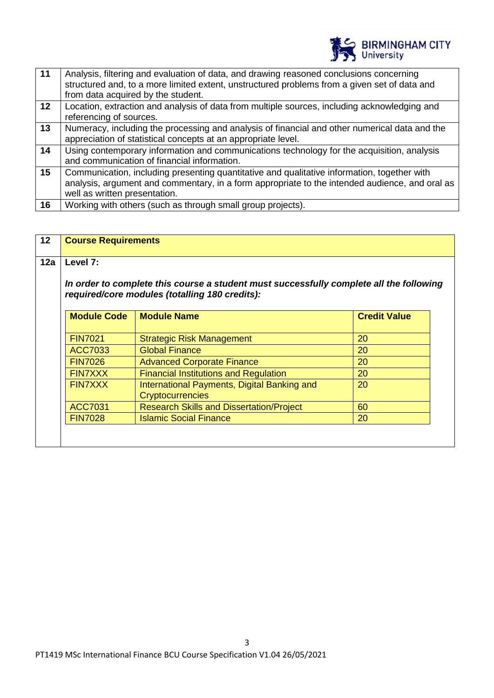

| $\vert$ 11 | Analysis, filtering and evaluation of data, and drawing reasoned conclusions concerning<br>structured and, to a more limited extent, unstructured problems from a given set of data and<br>from data acquired by the student.  |
|------------|--------------------------------------------------------------------------------------------------------------------------------------------------------------------------------------------------------------------------------|
| 12         | Location, extraction and analysis of data from multiple sources, including acknowledging and<br>referencing of sources.                                                                                                        |
| 13         | Numeracy, including the processing and analysis of financial and other numerical data and the<br>appreciation of statistical concepts at an appropriate level.                                                                 |
| 14         | Using contemporary information and communications technology for the acquisition, analysis<br>and communication of financial information.                                                                                      |
| 15         | Communication, including presenting quantitative and qualitative information, together with<br>analysis, argument and commentary, in a form appropriate to the intended audience, and oral as<br>well as written presentation. |
| 16         | Working with others (such as through small group projects).                                                                                                                                                                    |

| 12a | Level 7:                                                                                                                                  |                                                                        |                     |
|-----|-------------------------------------------------------------------------------------------------------------------------------------------|------------------------------------------------------------------------|---------------------|
|     | In order to complete this course a student must successfully complete all the following<br>required/core modules (totalling 180 credits): |                                                                        |                     |
|     | <b>Module Code</b>                                                                                                                        | <b>Module Name</b>                                                     | <b>Credit Value</b> |
|     | <b>FIN7021</b>                                                                                                                            | <b>Strategic Risk Management</b>                                       | 20                  |
|     | ACC7033                                                                                                                                   | <b>Global Finance</b>                                                  | 20                  |
|     | <b>FIN7026</b>                                                                                                                            | <b>Advanced Corporate Finance</b>                                      | 20                  |
|     | <b>FIN7XXX</b>                                                                                                                            | <b>Financial Institutions and Regulation</b>                           | 20                  |
|     | <b>FIN7XXX</b>                                                                                                                            | International Payments, Digital Banking and<br><b>Cryptocurrencies</b> | 20                  |
|     | <b>ACC7031</b>                                                                                                                            | <b>Research Skills and Dissertation/Project</b>                        | 60                  |
|     | <b>FIN7028</b>                                                                                                                            | <b>Islamic Social Finance</b>                                          | 20                  |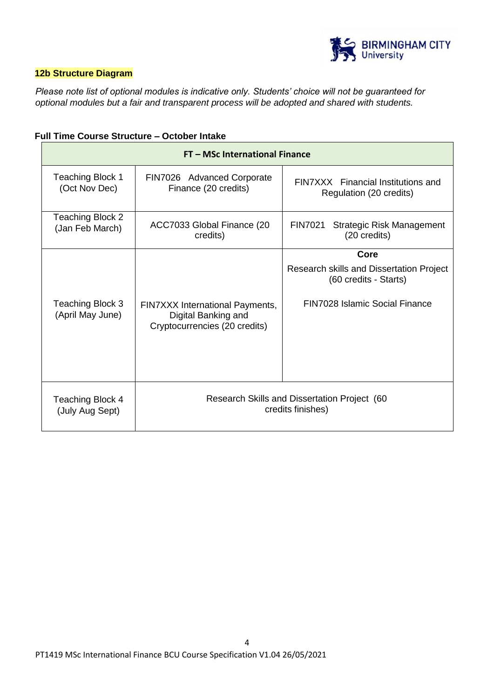

# **12b Structure Diagram**

*Please note list of optional modules is indicative only. Students' choice will not be guaranteed for optional modules but a fair and transparent process will be adopted and shared with students.* 

|                                          | FT - MSc International Finance                                                          |                                                                                                             |
|------------------------------------------|-----------------------------------------------------------------------------------------|-------------------------------------------------------------------------------------------------------------|
| <b>Teaching Block 1</b><br>(Oct Nov Dec) | FIN7026 Advanced Corporate<br>Finance (20 credits)                                      | FINZXXX Financial Institutions and<br>Regulation (20 credits)                                               |
| Teaching Block 2<br>(Jan Feb March)      | ACC7033 Global Finance (20<br>credits)                                                  | <b>FIN7021</b><br>Strategic Risk Management<br>(20 credits)                                                 |
| Teaching Block 3<br>(April May June)     | FIN7XXX International Payments,<br>Digital Banking and<br>Cryptocurrencies (20 credits) | Core<br>Research skills and Dissertation Project<br>(60 credits - Starts)<br>FIN7028 Islamic Social Finance |
| Teaching Block 4<br>(July Aug Sept)      | Research Skills and Dissertation Project (60<br>credits finishes)                       |                                                                                                             |

## **Full Time Course Structure – October Intake**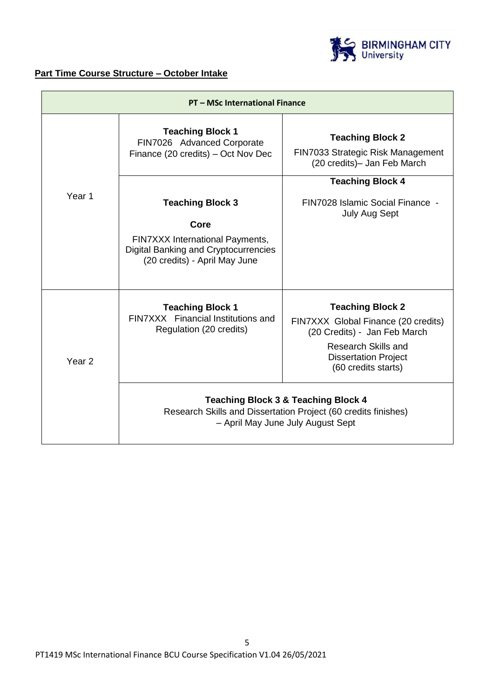

# **Part Time Course Structure – October Intake**

| <b>PT - MSc International Finance</b> |                                                                                                          |                                                                                                                                                       |
|---------------------------------------|----------------------------------------------------------------------------------------------------------|-------------------------------------------------------------------------------------------------------------------------------------------------------|
|                                       | <b>Teaching Block 1</b><br>FIN7026 Advanced Corporate<br>Finance (20 credits) – Oct Nov Dec              | <b>Teaching Block 2</b><br>FIN7033 Strategic Risk Management<br>(20 credits)- Jan Feb March                                                           |
|                                       |                                                                                                          | <b>Teaching Block 4</b>                                                                                                                               |
| Year 1                                | <b>Teaching Block 3</b>                                                                                  | FIN7028 Islamic Social Finance -<br><b>July Aug Sept</b>                                                                                              |
|                                       | Core                                                                                                     |                                                                                                                                                       |
|                                       | FIN7XXX International Payments,<br>Digital Banking and Cryptocurrencies<br>(20 credits) - April May June |                                                                                                                                                       |
|                                       | <b>Teaching Block 1</b>                                                                                  | <b>Teaching Block 2</b>                                                                                                                               |
|                                       | FIN7XXX Financial Institutions and<br>Regulation (20 credits)                                            | FIN7XXX Global Finance (20 credits)<br>(20 Credits) - Jan Feb March                                                                                   |
| Year <sub>2</sub>                     |                                                                                                          | <b>Research Skills and</b><br><b>Dissertation Project</b><br>(60 credits starts)                                                                      |
|                                       |                                                                                                          | <b>Teaching Block 3 &amp; Teaching Block 4</b><br>Research Skills and Dissertation Project (60 credits finishes)<br>- April May June July August Sept |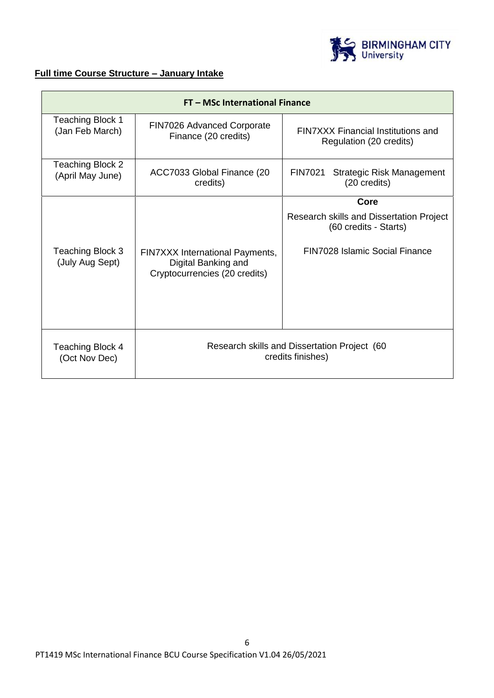

# **Full time Course Structure – January Intake**

| FT - MSc International Finance             |                                                                                         |                                                                                                     |  |
|--------------------------------------------|-----------------------------------------------------------------------------------------|-----------------------------------------------------------------------------------------------------|--|
| <b>Teaching Block 1</b><br>(Jan Feb March) | FIN7026 Advanced Corporate<br>Finance (20 credits)                                      | <b>FINZXXX Financial Institutions and</b><br>Regulation (20 credits)                                |  |
| Teaching Block 2<br>(April May June)       | ACC7033 Global Finance (20<br>credits)                                                  | <b>FIN7021</b><br><b>Strategic Risk Management</b><br>(20 credits)                                  |  |
|                                            |                                                                                         | Core                                                                                                |  |
| Teaching Block 3<br>(July Aug Sept)        | FIN7XXX International Payments,<br>Digital Banking and<br>Cryptocurrencies (20 credits) | Research skills and Dissertation Project<br>(60 credits - Starts)<br>FIN7028 Islamic Social Finance |  |
| Teaching Block 4<br>(Oct Nov Dec)          | Research skills and Dissertation Project (60<br>credits finishes)                       |                                                                                                     |  |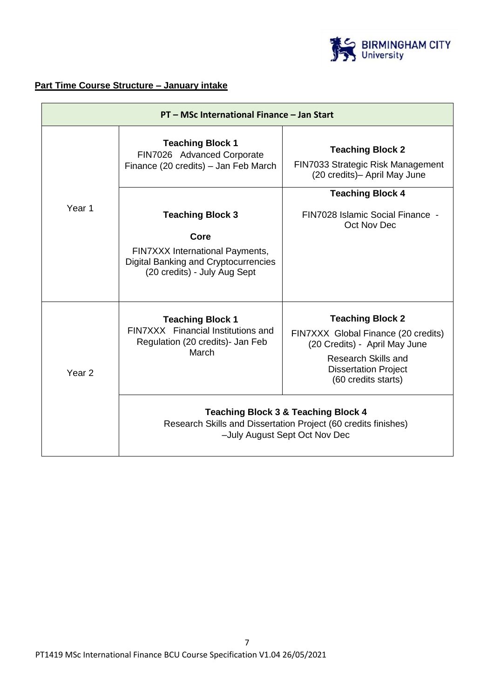

# **Part Time Course Structure – January intake**

| PT - MSc International Finance - Jan Start |                                                                                                                                                   |                                                                                                                                                                                     |
|--------------------------------------------|---------------------------------------------------------------------------------------------------------------------------------------------------|-------------------------------------------------------------------------------------------------------------------------------------------------------------------------------------|
|                                            | <b>Teaching Block 1</b><br>FIN7026 Advanced Corporate<br>Finance (20 credits) - Jan Feb March                                                     | <b>Teaching Block 2</b><br>FIN7033 Strategic Risk Management<br>(20 credits)- April May June                                                                                        |
| Year 1                                     | <b>Teaching Block 3</b><br>Core<br>FIN7XXX International Payments,<br><b>Digital Banking and Cryptocurrencies</b><br>(20 credits) - July Aug Sept | <b>Teaching Block 4</b><br>FIN7028 Islamic Social Finance -<br>Oct Nov Dec                                                                                                          |
| Year <sub>2</sub>                          | <b>Teaching Block 1</b><br>FIN7XXX Financial Institutions and<br>Regulation (20 credits)- Jan Feb<br>March                                        | <b>Teaching Block 2</b><br>FIN7XXX Global Finance (20 credits)<br>(20 Credits) - April May June<br><b>Research Skills and</b><br><b>Dissertation Project</b><br>(60 credits starts) |
|                                            |                                                                                                                                                   | <b>Teaching Block 3 &amp; Teaching Block 4</b><br>Research Skills and Dissertation Project (60 credits finishes)<br>-July August Sept Oct Nov Dec                                   |